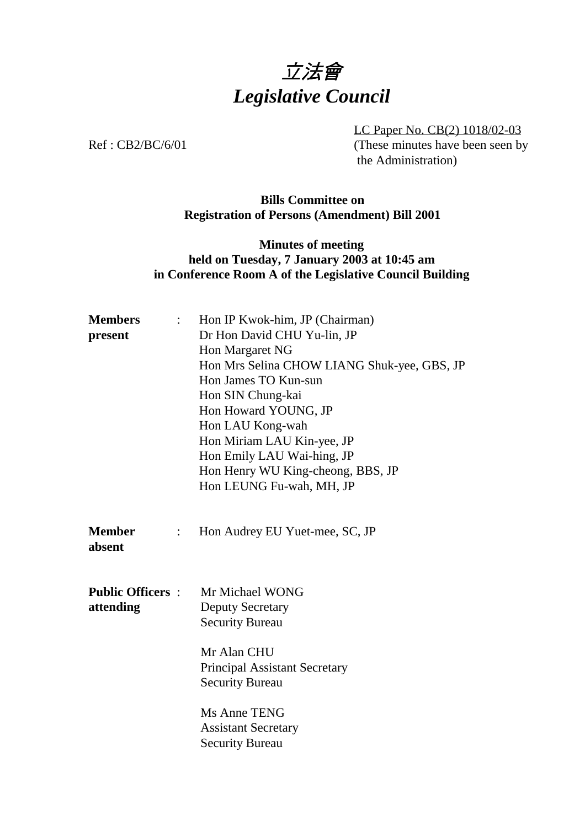# 立法會 *Legislative Council*

LC Paper No. CB(2) 1018/02-03 Ref : CB2/BC/6/01 (These minutes have been seen by the Administration)

#### **Bills Committee on Registration of Persons (Amendment) Bill 2001**

### **Minutes of meeting held on Tuesday, 7 January 2003 at 10:45 am in Conference Room A of the Legislative Council Building**

| <b>Members</b><br>$\ddot{\cdot}$ | Hon IP Kwok-him, JP (Chairman)                                                |
|----------------------------------|-------------------------------------------------------------------------------|
| present                          | Dr Hon David CHU Yu-lin, JP                                                   |
|                                  | Hon Margaret NG                                                               |
|                                  | Hon Mrs Selina CHOW LIANG Shuk-yee, GBS, JP                                   |
|                                  | Hon James TO Kun-sun                                                          |
|                                  | Hon SIN Chung-kai                                                             |
|                                  | Hon Howard YOUNG, JP                                                          |
|                                  | Hon LAU Kong-wah                                                              |
|                                  | Hon Miriam LAU Kin-yee, JP                                                    |
|                                  | Hon Emily LAU Wai-hing, JP                                                    |
|                                  | Hon Henry WU King-cheong, BBS, JP                                             |
|                                  | Hon LEUNG Fu-wah, MH, JP                                                      |
| <b>Member</b><br>absent          | Hon Audrey EU Yuet-mee, SC, JP                                                |
| <b>Public Officers:</b>          | Mr Michael WONG                                                               |
| attending                        | <b>Deputy Secretary</b>                                                       |
|                                  | <b>Security Bureau</b>                                                        |
|                                  | Mr Alan CHU<br><b>Principal Assistant Secretary</b><br><b>Security Bureau</b> |
|                                  | Ms Anne TENG<br><b>Assistant Secretary</b><br><b>Security Bureau</b>          |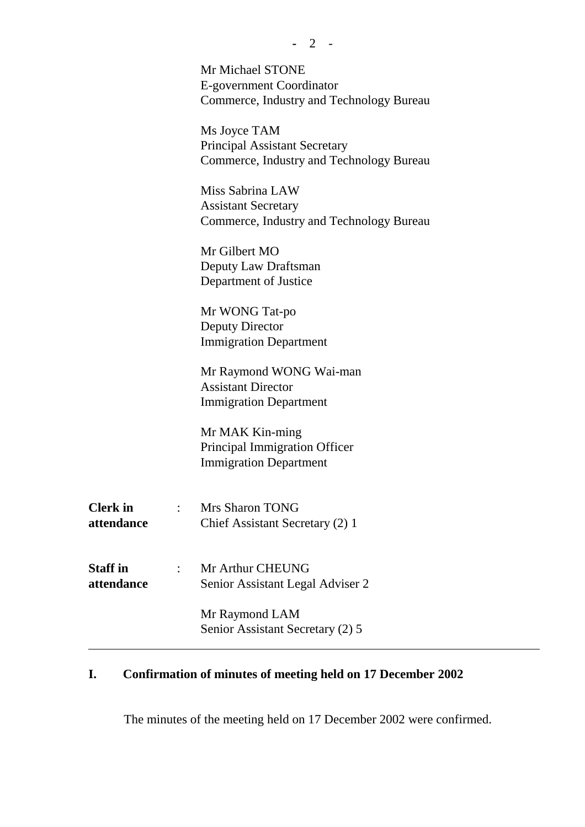|                               | Mr Michael STONE<br>E-government Coordinator<br>Commerce, Industry and Technology Bureau   |
|-------------------------------|--------------------------------------------------------------------------------------------|
|                               | Ms Joyce TAM<br>Principal Assistant Secretary<br>Commerce, Industry and Technology Bureau  |
|                               | Miss Sabrina LAW<br><b>Assistant Secretary</b><br>Commerce, Industry and Technology Bureau |
|                               | Mr Gilbert MO<br>Deputy Law Draftsman<br>Department of Justice                             |
|                               | Mr WONG Tat-po<br><b>Deputy Director</b><br><b>Immigration Department</b>                  |
|                               | Mr Raymond WONG Wai-man<br><b>Assistant Director</b><br><b>Immigration Department</b>      |
|                               | Mr MAK Kin-ming<br>Principal Immigration Officer<br><b>Immigration Department</b>          |
| <b>Clerk</b> in<br>attendance | : Mrs Sharon TONG<br>Chief Assistant Secretary (2) 1                                       |
| <b>Staff in</b><br>attendance | Mr Arthur CHEUNG<br>Senior Assistant Legal Adviser 2                                       |
|                               | Mr Raymond LAM<br>Senior Assistant Secretary (2) 5                                         |

## **I. Confirmation of minutes of meeting held on 17 December 2002**

The minutes of the meeting held on 17 December 2002 were confirmed.

**-** 2 -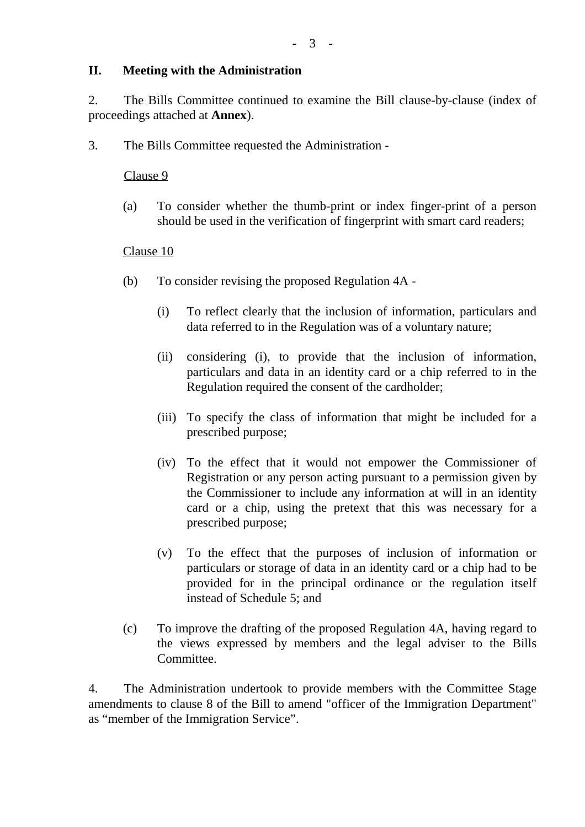#### **II. Meeting with the Administration**

2. The Bills Committee continued to examine the Bill clause-by-clause (index of proceedings attached at **Annex**).

3. The Bills Committee requested the Administration -

#### Clause 9

(a) To consider whether the thumb-print or index finger-print of a person should be used in the verification of fingerprint with smart card readers;

#### Clause 10

- (b) To consider revising the proposed Regulation 4A
	- (i) To reflect clearly that the inclusion of information, particulars and data referred to in the Regulation was of a voluntary nature;
	- (ii) considering (i), to provide that the inclusion of information, particulars and data in an identity card or a chip referred to in the Regulation required the consent of the cardholder;
	- (iii) To specify the class of information that might be included for a prescribed purpose;
	- (iv) To the effect that it would not empower the Commissioner of Registration or any person acting pursuant to a permission given by the Commissioner to include any information at will in an identity card or a chip, using the pretext that this was necessary for a prescribed purpose;
	- (v) To the effect that the purposes of inclusion of information or particulars or storage of data in an identity card or a chip had to be provided for in the principal ordinance or the regulation itself instead of Schedule 5; and
- (c) To improve the drafting of the proposed Regulation 4A, having regard to the views expressed by members and the legal adviser to the Bills Committee.

4. The Administration undertook to provide members with the Committee Stage amendments to clause 8 of the Bill to amend "officer of the Immigration Department" as "member of the Immigration Service".